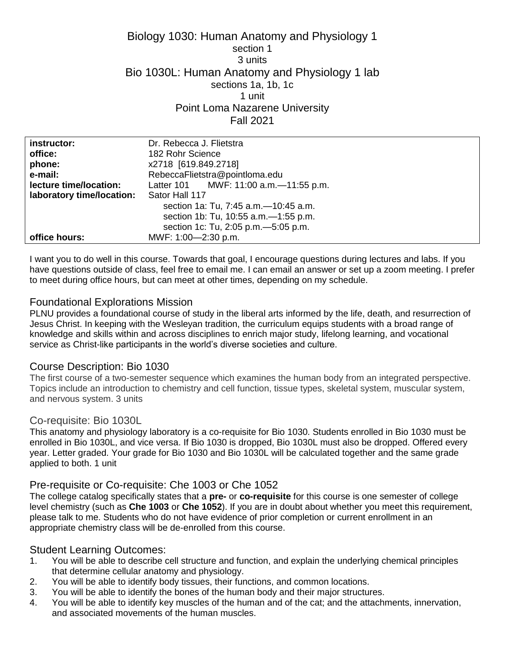# Biology 1030: Human Anatomy and Physiology 1 section 1 3 units Bio 1030L: Human Anatomy and Physiology 1 lab sections 1a, 1b, 1c 1 unit Point Loma Nazarene University Fall 2021

| instructor:               | Dr. Rebecca J. Flietstra                |
|---------------------------|-----------------------------------------|
| office:                   | 182 Rohr Science                        |
| phone:                    | x2718 [619.849.2718]                    |
| e-mail:                   | RebeccaFlietstra@pointloma.edu          |
| lecture time/location:    | Latter 101 MWF: 11:00 a.m. - 11:55 p.m. |
| laboratory time/location: | Sator Hall 117                          |
|                           | section 1a: Tu, 7:45 a.m. -10:45 a.m.   |
|                           | section 1b: Tu, 10:55 a.m. - 1:55 p.m.  |
|                           | section 1c: Tu, 2:05 p.m. - 5:05 p.m.   |
| office hours:             | MWF: 1:00-2:30 p.m.                     |

I want you to do well in this course. Towards that goal, I encourage questions during lectures and labs. If you have questions outside of class, feel free to email me. I can email an answer or set up a zoom meeting. I prefer to meet during office hours, but can meet at other times, depending on my schedule.

# Foundational Explorations Mission

PLNU provides a foundational course of study in the liberal arts informed by the life, death, and resurrection of Jesus Christ. In keeping with the Wesleyan tradition, the curriculum equips students with a broad range of knowledge and skills within and across disciplines to enrich major study, lifelong learning, and vocational service as Christ-like participants in the world's diverse societies and culture.

# Course Description: Bio 1030

The first course of a two-semester sequence which examines the human body from an integrated perspective. Topics include an introduction to chemistry and cell function, tissue types, skeletal system, muscular system, and nervous system. 3 units

## Co-requisite: Bio 1030L

This anatomy and physiology laboratory is a co-requisite for Bio 1030. Students enrolled in Bio 1030 must be enrolled in Bio 1030L, and vice versa. If Bio 1030 is dropped, Bio 1030L must also be dropped. Offered every year. Letter graded. Your grade for Bio 1030 and Bio 1030L will be calculated together and the same grade applied to both. 1 unit

## Pre-requisite or Co-requisite: Che 1003 or Che 1052

The college catalog specifically states that a **pre-** or **co-requisite** for this course is one semester of college level chemistry (such as **Che 1003** or **Che 1052**). If you are in doubt about whether you meet this requirement, please talk to me. Students who do not have evidence of prior completion or current enrollment in an appropriate chemistry class will be de-enrolled from this course.

## Student Learning Outcomes:

- 1. You will be able to describe cell structure and function, and explain the underlying chemical principles that determine cellular anatomy and physiology.
- 2. You will be able to identify body tissues, their functions, and common locations.
- 3. You will be able to identify the bones of the human body and their major structures.
- 4. You will be able to identify key muscles of the human and of the cat; and the attachments, innervation, and associated movements of the human muscles.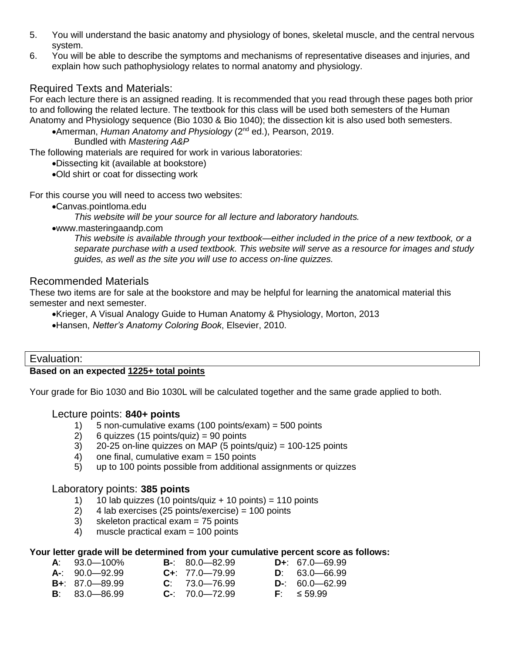- 5. You will understand the basic anatomy and physiology of bones, skeletal muscle, and the central nervous system.
- 6. You will be able to describe the symptoms and mechanisms of representative diseases and injuries, and explain how such pathophysiology relates to normal anatomy and physiology.

# Required Texts and Materials:

For each lecture there is an assigned reading. It is recommended that you read through these pages both prior to and following the related lecture. The textbook for this class will be used both semesters of the Human Anatomy and Physiology sequence (Bio 1030 & Bio 1040); the dissection kit is also used both semesters.

• Amerman, *Human Anatomy and Physiology* (2<sup>nd</sup> ed.), Pearson, 2019.

Bundled with *Mastering A&P*

The following materials are required for work in various laboratories:

Dissecting kit (available at bookstore)

Old shirt or coat for dissecting work

For this course you will need to access two websites:

Canvas.pointloma.edu

*This website will be your source for all lecture and laboratory handouts.*

www.masteringaandp.com

*This website is available through your textbook—either included in the price of a new textbook, or a separate purchase with a used textbook. This website will serve as a resource for images and study guides, as well as the site you will use to access on-line quizzes.*

## Recommended Materials

These two items are for sale at the bookstore and may be helpful for learning the anatomical material this semester and next semester.

Krieger, A Visual Analogy Guide to Human Anatomy & Physiology, Morton, 2013

Hansen, *Netter's Anatomy Coloring Book*, Elsevier, 2010.

| Evaluation:                             |  |
|-----------------------------------------|--|
| Based on an expected 1225+ total points |  |

Your grade for Bio 1030 and Bio 1030L will be calculated together and the same grade applied to both.

## Lecture points: **840+ points**

- 1) 5 non-cumulative exams (100 points/exam) = 500 points
- 2) 6 quizzes (15 points/quiz) =  $90$  points
- $3)$  20-25 on-line quizzes on MAP (5 points/quiz) = 100-125 points
- 4) one final, cumulative exam = 150 points
- 5) up to 100 points possible from additional assignments or quizzes

## Laboratory points: **385 points**

- 1)  $10$  lab quizzes (10 points/quiz + 10 points) = 110 points
- 2) 4 lab exercises (25 points/exercise) = 100 points
- 3) skeleton practical exam = 75 points
- 4) muscle practical exam = 100 points

#### **Your letter grade will be determined from your cumulative percent score as follows:**

| $A: 93.0 - 100\%$          | $B - 80.0 - 82.99$   | $D_{+}$ : 67.0 - 69.99 |
|----------------------------|----------------------|------------------------|
| $A-$ : 90.0-92.99          | $C_{+}$ : 77.0-79.99 | $D: 63.0 - 66.99$      |
| <b>B</b> +: $87.0 - 89.99$ | $C: 73.0 - 76.99$    | $D-$ : 60.0-62.99      |
| <b>B</b> : $83.0 - 86.99$  | $C - 70.0 - 72.99$   | $F = 59.99$            |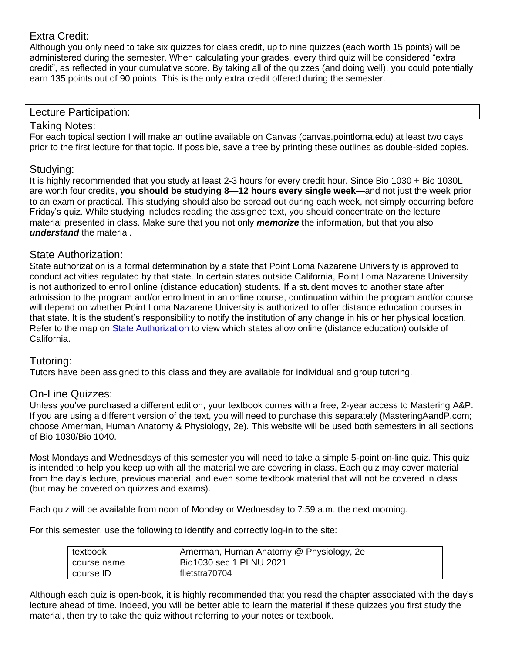# Extra Credit:

Although you only need to take six quizzes for class credit, up to nine quizzes (each worth 15 points) will be administered during the semester. When calculating your grades, every third quiz will be considered "extra credit", as reflected in your cumulative score. By taking all of the quizzes (and doing well), you could potentially earn 135 points out of 90 points. This is the only extra credit offered during the semester.

## Lecture Participation:

# Taking Notes:

For each topical section I will make an outline available on Canvas (canvas.pointloma.edu) at least two days prior to the first lecture for that topic. If possible, save a tree by printing these outlines as double-sided copies.

## Studying:

It is highly recommended that you study at least 2-3 hours for every credit hour. Since Bio 1030 + Bio 1030L are worth four credits, **you should be studying 8—12 hours every single week**—and not just the week prior to an exam or practical. This studying should also be spread out during each week, not simply occurring before Friday's quiz. While studying includes reading the assigned text, you should concentrate on the lecture material presented in class. Make sure that you not only *memorize* the information, but that you also *understand* the material.

## State Authorization:

State authorization is a formal determination by a state that Point Loma Nazarene University is approved to conduct activities regulated by that state. In certain states outside California, Point Loma Nazarene University is not authorized to enroll online (distance education) students. If a student moves to another state after admission to the program and/or enrollment in an online course, continuation within the program and/or course will depend on whether Point Loma Nazarene University is authorized to offer distance education courses in that state. It is the student's responsibility to notify the institution of any change in his or her physical location. Refer to the map on [State Authorization](https://www.pointloma.edu/offices/office-institutional-effectiveness-research/disclosures) to view which states allow online (distance education) outside of California.

# Tutoring:

Tutors have been assigned to this class and they are available for individual and group tutoring.

# On-Line Quizzes:

Unless you've purchased a different edition, your textbook comes with a free, 2-year access to Mastering A&P. If you are using a different version of the text, you will need to purchase this separately (MasteringAandP.com; choose Amerman, Human Anatomy & Physiology, 2e). This website will be used both semesters in all sections of Bio 1030/Bio 1040.

Most Mondays and Wednesdays of this semester you will need to take a simple 5-point on-line quiz. This quiz is intended to help you keep up with all the material we are covering in class. Each quiz may cover material from the day's lecture, previous material, and even some textbook material that will not be covered in class (but may be covered on quizzes and exams).

Each quiz will be available from noon of Monday or Wednesday to 7:59 a.m. the next morning.

For this semester, use the following to identify and correctly log-in to the site:

| textbook      | Amerman, Human Anatomy @ Physiology, 2e |
|---------------|-----------------------------------------|
| l course name | Bio1030 sec 1 PLNU 2021                 |
| l course ID   | flietstra70704                          |

Although each quiz is open-book, it is highly recommended that you read the chapter associated with the day's lecture ahead of time. Indeed, you will be better able to learn the material if these quizzes you first study the material, then try to take the quiz without referring to your notes or textbook.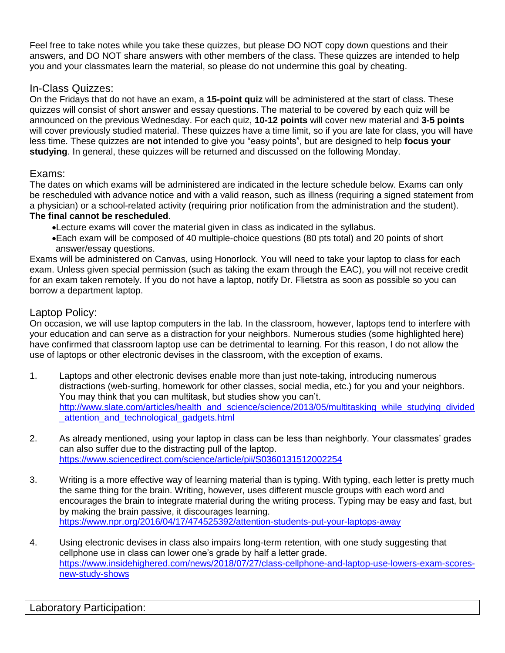Feel free to take notes while you take these quizzes, but please DO NOT copy down questions and their answers, and DO NOT share answers with other members of the class. These quizzes are intended to help you and your classmates learn the material, so please do not undermine this goal by cheating.

# In-Class Quizzes:

On the Fridays that do not have an exam, a **15-point quiz** will be administered at the start of class. These quizzes will consist of short answer and essay questions. The material to be covered by each quiz will be announced on the previous Wednesday. For each quiz, **10-12 points** will cover new material and **3-5 points** will cover previously studied material. These quizzes have a time limit, so if you are late for class, you will have less time. These quizzes are **not** intended to give you "easy points", but are designed to help **focus your studying**. In general, these quizzes will be returned and discussed on the following Monday.

# Exams:

The dates on which exams will be administered are indicated in the lecture schedule below. Exams can only be rescheduled with advance notice and with a valid reason, such as illness (requiring a signed statement from a physician) or a school-related activity (requiring prior notification from the administration and the student). **The final cannot be rescheduled**.

- Lecture exams will cover the material given in class as indicated in the syllabus.
- Each exam will be composed of 40 multiple-choice questions (80 pts total) and 20 points of short answer/essay questions.

Exams will be administered on Canvas, using Honorlock. You will need to take your laptop to class for each exam. Unless given special permission (such as taking the exam through the EAC), you will not receive credit for an exam taken remotely. If you do not have a laptop, notify Dr. Flietstra as soon as possible so you can borrow a department laptop.

# Laptop Policy:

On occasion, we will use laptop computers in the lab. In the classroom, however, laptops tend to interfere with your education and can serve as a distraction for your neighbors. Numerous studies (some highlighted here) have confirmed that classroom laptop use can be detrimental to learning. For this reason, I do not allow the use of laptops or other electronic devises in the classroom, with the exception of exams.

- 1. Laptops and other electronic devises enable more than just note-taking, introducing numerous distractions (web-surfing, homework for other classes, social media, etc.) for you and your neighbors. You may think that you can multitask, but studies show you can't. [http://www.slate.com/articles/health\\_and\\_science/science/2013/05/multitasking\\_while\\_studying\\_divided](http://www.slate.com/articles/health_and_science/science/2013/05/multitasking_while_studying_divided_attention_and_technological_gadgets.html) attention and technological gadgets.html
- 2. As already mentioned, using your laptop in class can be less than neighborly. Your classmates' grades can also suffer due to the distracting pull of the laptop. <https://www.sciencedirect.com/science/article/pii/S0360131512002254>
- 3. Writing is a more effective way of learning material than is typing. With typing, each letter is pretty much the same thing for the brain. Writing, however, uses different muscle groups with each word and encourages the brain to integrate material during the writing process. Typing may be easy and fast, but by making the brain passive, it discourages learning. <https://www.npr.org/2016/04/17/474525392/attention-students-put-your-laptops-away>
- 4. Using electronic devises in class also impairs long-term retention, with one study suggesting that cellphone use in class can lower one's grade by half a letter grade. [https://www.insidehighered.com/news/2018/07/27/class-cellphone-and-laptop-use-lowers-exam-scores](https://www.insidehighered.com/news/2018/07/27/class-cellphone-and-laptop-use-lowers-exam-scores-new-study-shows)[new-study-shows](https://www.insidehighered.com/news/2018/07/27/class-cellphone-and-laptop-use-lowers-exam-scores-new-study-shows)

# Laboratory Participation: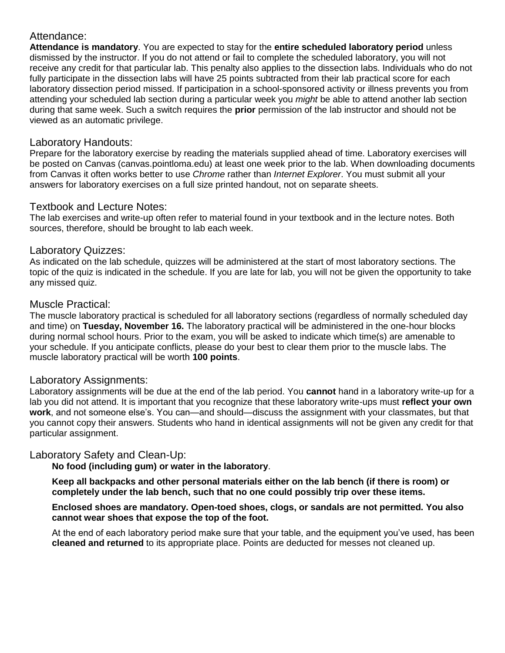# Attendance:

**Attendance is mandatory**. You are expected to stay for the **entire scheduled laboratory period** unless dismissed by the instructor. If you do not attend or fail to complete the scheduled laboratory, you will not receive any credit for that particular lab. This penalty also applies to the dissection labs. Individuals who do not fully participate in the dissection labs will have 25 points subtracted from their lab practical score for each laboratory dissection period missed. If participation in a school-sponsored activity or illness prevents you from attending your scheduled lab section during a particular week you *might* be able to attend another lab section during that same week. Such a switch requires the **prior** permission of the lab instructor and should not be viewed as an automatic privilege.

# Laboratory Handouts:

Prepare for the laboratory exercise by reading the materials supplied ahead of time. Laboratory exercises will be posted on Canvas (canvas.pointloma.edu) at least one week prior to the lab. When downloading documents from Canvas it often works better to use *Chrome* rather than *Internet Explorer*. You must submit all your answers for laboratory exercises on a full size printed handout, not on separate sheets.

## Textbook and Lecture Notes:

The lab exercises and write-up often refer to material found in your textbook and in the lecture notes. Both sources, therefore, should be brought to lab each week.

## Laboratory Quizzes:

As indicated on the lab schedule, quizzes will be administered at the start of most laboratory sections. The topic of the quiz is indicated in the schedule. If you are late for lab, you will not be given the opportunity to take any missed quiz.

## Muscle Practical:

The muscle laboratory practical is scheduled for all laboratory sections (regardless of normally scheduled day and time) on **Tuesday, November 16.** The laboratory practical will be administered in the one-hour blocks during normal school hours. Prior to the exam, you will be asked to indicate which time(s) are amenable to your schedule. If you anticipate conflicts, please do your best to clear them prior to the muscle labs. The muscle laboratory practical will be worth **100 points**.

## Laboratory Assignments:

Laboratory assignments will be due at the end of the lab period. You **cannot** hand in a laboratory write-up for a lab you did not attend. It is important that you recognize that these laboratory write-ups must **reflect your own work**, and not someone else's. You can—and should—discuss the assignment with your classmates, but that you cannot copy their answers. Students who hand in identical assignments will not be given any credit for that particular assignment.

# Laboratory Safety and Clean-Up:

**No food (including gum) or water in the laboratory**.

**Keep all backpacks and other personal materials either on the lab bench (if there is room) or completely under the lab bench, such that no one could possibly trip over these items.**

#### **Enclosed shoes are mandatory. Open-toed shoes, clogs, or sandals are not permitted. You also cannot wear shoes that expose the top of the foot.**

At the end of each laboratory period make sure that your table, and the equipment you've used, has been **cleaned and returned** to its appropriate place. Points are deducted for messes not cleaned up.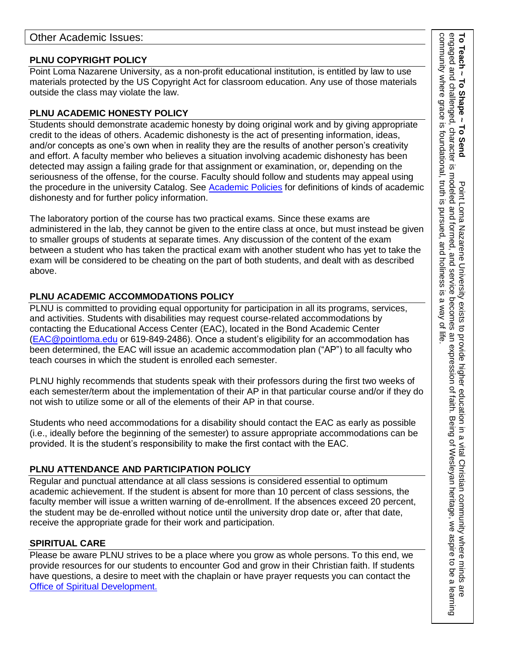## **PLNU COPYRIGHT POLICY**

Point Loma Nazarene University, as a non-profit educational institution, is entitled by law to use materials protected by the US Copyright Act for classroom education. Any use of those materials outside the class may violate the law.

# **PLNU ACADEMIC HONESTY POLICY**

Students should demonstrate academic honesty by doing original work and by giving appropriate credit to the ideas of others. Academic dishonesty is the act of presenting information, ideas, and/or concepts as one's own when in reality they are the results of another person's creativity and effort. A faculty member who believes a situation involving academic dishonesty has been detected may assign a failing grade for that assignment or examination, or, depending on the seriousness of the offense, for the course. Faculty should follow and students may appeal using the procedure in the university Catalog. See [Academic Policies](https://catalog.pointloma.edu/content.php?catoid=52&navoid=2919#Academic_Honesty) for definitions of kinds of academic dishonesty and for further policy information.

The laboratory portion of the course has two practical exams. Since these exams are administered in the lab, they cannot be given to the entire class at once, but must instead be given to smaller groups of students at separate times. Any discussion of the content of the exam between a student who has taken the practical exam with another student who has yet to take the exam will be considered to be cheating on the part of both students, and dealt with as described above.

# **PLNU ACADEMIC ACCOMMODATIONS POLICY**

PLNU is committed to providing equal opportunity for participation in all its programs, services, and activities. Students with disabilities may request course-related accommodations by contacting the Educational Access Center (EAC), located in the Bond Academic Center [\(EAC@pointloma.edu](mailto:EAC@pointloma.edu) or 619-849-2486). Once a student's eligibility for an accommodation has been determined, the EAC will issue an academic accommodation plan ("AP") to all faculty who teach courses in which the student is enrolled each semester.

PLNU highly recommends that students speak with their professors during the first two weeks of each semester/term about the implementation of their AP in that particular course and/or if they do not wish to utilize some or all of the elements of their AP in that course.

Students who need accommodations for a disability should contact the EAC as early as possible (i.e., ideally before the beginning of the semester) to assure appropriate accommodations can be provided. It is the student's responsibility to make the first contact with the EAC.

# **PLNU ATTENDANCE AND PARTICIPATION POLICY**

Regular and punctual attendance at all class sessions is considered essential to optimum academic achievement. If the student is absent for more than 10 percent of class sessions, the faculty member will issue a written warning of de-enrollment. If the absences exceed 20 percent, the student may be de-enrolled without notice until the university drop date or, after that date, receive the appropriate grade for their work and participation.

# **SPIRITUAL CARE**

Please be aware PLNU strives to be a place where you grow as whole persons. To this end, we provide resources for our students to encounter God and grow in their Christian faith. If students have questions, a desire to meet with the chaplain or have prayer requests you can contact the Office of Spiritual Development.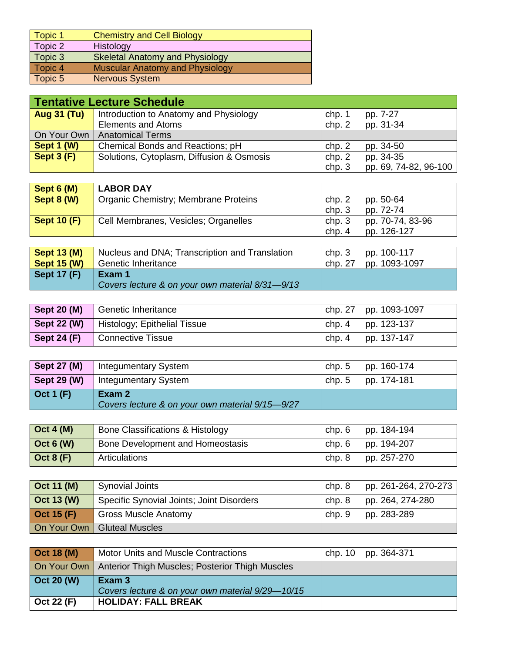| Topic 1 | <b>Chemistry and Cell Biology</b>      |
|---------|----------------------------------------|
| Topic 2 | Histology                              |
| Topic 3 | <b>Skeletal Anatomy and Physiology</b> |
| Topic 4 | <b>Muscular Anatomy and Physiology</b> |
| Topic 5 | <b>Nervous System</b>                  |

|                                     | Tentative Lecture Schedule                |        |                       |
|-------------------------------------|-------------------------------------------|--------|-----------------------|
| Aug $31$ (Tu)                       | Introduction to Anatomy and Physiology    | chp. 1 | pp. 7-27              |
|                                     | <b>Elements and Atoms</b>                 | chp. 2 | pp. 31-34             |
| On Your Own                         | <b>Anatomical Terms</b>                   |        |                       |
| Sept 1 (W)                          | Chemical Bonds and Reactions; pH          | chp. 2 | pp. 34-50             |
| $\overline{\phantom{a}}$ Sept 3 (F) | Solutions, Cytoplasm, Diffusion & Osmosis | chp. 2 | pp. 34-35             |
|                                     |                                           | chp.3  | pp. 69, 74-82, 96-100 |

| Sept 6 (M)         | <b>LABOR DAY</b>                     |        |                  |
|--------------------|--------------------------------------|--------|------------------|
| Sept 8 (W)         | Organic Chemistry; Membrane Proteins | chp. 2 | pp. 50-64        |
|                    |                                      | chp. 3 | pp. 72-74        |
| <b>Sept 10 (F)</b> | Cell Membranes, Vesicles; Organelles | chp. 3 | pp. 70-74, 83-96 |
|                    |                                      | chp.4  | pp. 126-127      |

| $\sqrt{\phantom{a}}$ Sept 13 (M) | Nucleus and DNA; Transcription and Translation  | chp. 3  | pp. 100-117   |
|----------------------------------|-------------------------------------------------|---------|---------------|
| $\vert$ Sept 15 (W)              | <b>Genetic Inheritance</b>                      | chp. 27 | pp. 1093-1097 |
| Sept 17 $(F)$                    | Exam 1                                          |         |               |
|                                  | Covers lecture & on your own material 8/31-9/13 |         |               |

|               | Sept 20 (M) Genetic Inheritance                 | chp. 27 pp. 1093-1097 |
|---------------|-------------------------------------------------|-----------------------|
|               | <b>Sept 22 (W)</b> Histology; Epithelial Tissue | chp. 4 pp. 123-137    |
| Sept 24 $(F)$ | Connective Tissue                               | chp. 4 pp. 137-147    |

| <b>Sept 27 (M)</b> | <b>Integumentary System</b>                               | chp. 5 | pp. 160-174 |
|--------------------|-----------------------------------------------------------|--------|-------------|
| Sept 29 $(W)$      | Integumentary System                                      | chp. 5 | pp. 174-181 |
| $\vert$ Oct 1 (F)  | Exam 2<br>Covers lecture & on your own material 9/15-9/27 |        |             |

| $\vert$ Oct 4 (M) | <b>Bone Classifications &amp; Histology</b> | chp. 6 | pp. 184-194 |
|-------------------|---------------------------------------------|--------|-------------|
| $\vert$ Oct 6 (W) | Bone Development and Homeostasis            | chp. 6 | pp. 194-207 |
| $\vert$ Oct 8 (F) | Articulations                               | chp. 8 | pp. 257-270 |

| $\vert$ Oct 11 (M) | <b>Synovial Joints</b>                    | chp. 8 | pp. 261-264, 270-273 |
|--------------------|-------------------------------------------|--------|----------------------|
| $\vert$ Oct 13 (W) | Specific Synovial Joints; Joint Disorders | chp. 8 | pp. 264, 274-280     |
| $\vert$ Oct 15 (F) | <b>Gross Muscle Anatomy</b>               | chp. 9 | pp. 283-289          |
|                    | On Your Own   Gluteal Muscles             |        |                      |

| Oct 18 (M)         | <b>Motor Units and Muscle Contractions</b>                    | chp. 10 pp. 364-371 |
|--------------------|---------------------------------------------------------------|---------------------|
|                    | On Your Own   Anterior Thigh Muscles; Posterior Thigh Muscles |                     |
| $\vert$ Oct 20 (W) | Exam 3                                                        |                     |
|                    | Covers lecture & on your own material 9/29-10/15              |                     |
| Oct 22 (F)         | <b>HOLIDAY: FALL BREAK</b>                                    |                     |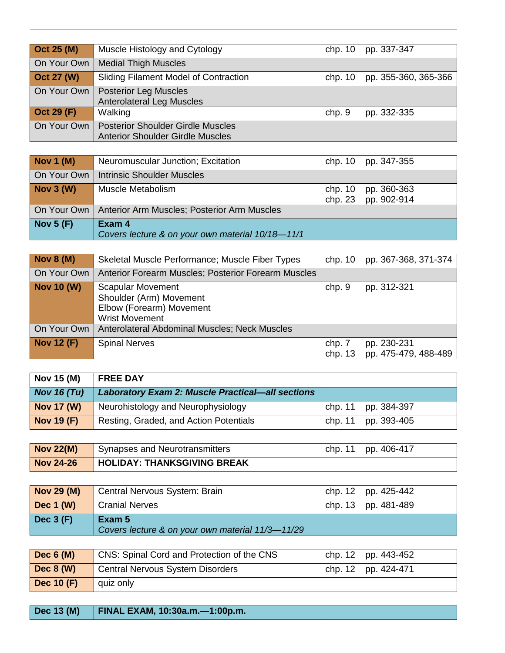| Oct 25 (M)        | Muscle Histology and Cytology                                                       | chp. 10   | pp. 337-347          |
|-------------------|-------------------------------------------------------------------------------------|-----------|----------------------|
| On Your Own       | <b>Medial Thigh Muscles</b>                                                         |           |                      |
| <b>Oct 27 (W)</b> | Sliding Filament Model of Contraction                                               | chp. $10$ | pp. 355-360, 365-366 |
| On Your Own       | <b>Posterior Leg Muscles</b><br><b>Anterolateral Leg Muscles</b>                    |           |                      |
| Oct 29 (F)        | Walking                                                                             | chp. 9    | pp. 332-335          |
| On Your Own       | <b>Posterior Shoulder Girdle Muscles</b><br><b>Anterior Shoulder Girdle Muscles</b> |           |                      |

| <b>Nov 1 (M)</b> | Neuromuscular Junction; Excitation                         | chp. 10 pp. 347-355                        |
|------------------|------------------------------------------------------------|--------------------------------------------|
| On Your Own      | <b>Intrinsic Shoulder Muscles</b>                          |                                            |
| Nov $3(W)$       | Muscle Metabolism                                          | chp. 10 pp. 360-363<br>chp. 23 pp. 902-914 |
|                  | On Your Own   Anterior Arm Muscles; Posterior Arm Muscles  |                                            |
| Nov $5(F)$       | Exam 4<br>Covers lecture & on your own material 10/18-11/1 |                                            |

| Nov $8(M)$        | Skeletal Muscle Performance; Muscle Fiber Types                                                          | chp. 10           | pp. 367-368, 371-374                |
|-------------------|----------------------------------------------------------------------------------------------------------|-------------------|-------------------------------------|
| On Your Own       | Anterior Forearm Muscles; Posterior Forearm Muscles                                                      |                   |                                     |
| <b>Nov 10 (W)</b> | <b>Scapular Movement</b><br>Shoulder (Arm) Movement<br>Elbow (Forearm) Movement<br><b>Wrist Movement</b> | chp. 9            | pp. 312-321                         |
| On Your Own       | Anterolateral Abdominal Muscles; Neck Muscles                                                            |                   |                                     |
| <b>Nov 12 (F)</b> | <b>Spinal Nerves</b>                                                                                     | chp. 7<br>chp. 13 | pp. 230-231<br>pp. 475-479, 488-489 |

| Nov 15 (M)        | <b>FREE DAY</b>                                         |                     |
|-------------------|---------------------------------------------------------|---------------------|
| Nov 16 $(Tu)$     | <b>Laboratory Exam 2: Muscle Practical—all sections</b> |                     |
| <b>Nov 17 (W)</b> | Neurohistology and Neurophysiology                      | chp. 11 pp. 384-397 |
| <b>Nov 19 (F)</b> | Resting, Graded, and Action Potentials                  | chp. 11 pp. 393-405 |

| $\sqrt{\text{Nov } 22(M)}$ | Synapses and Neurotransmitters | chp. 11 pp. 406-417 |
|----------------------------|--------------------------------|---------------------|
| <b>Nov 24-26</b>           | HOLIDAY: THANKSGIVING BREAK    |                     |

| <b>Nov 29 (M)</b> | Central Nervous System: Brain                              | chp. 12 pp. 425-442 |
|-------------------|------------------------------------------------------------|---------------------|
| Dec $1(W)$        | Cranial Nerves                                             | chp. 13 pp. 481-489 |
| Dec $3(F)$        | Exam 5<br>Covers lecture & on your own material 11/3-11/29 |                     |

| Dec $6(M)$        | CNS: Spinal Cord and Protection of the CNS | chp. 12 pp. 443-452 |
|-------------------|--------------------------------------------|---------------------|
| <b>Dec 8 (W)</b>  | Central Nervous System Disorders           | chp. 12 pp. 424-471 |
| <b>Dec 10 (F)</b> | quiz only                                  |                     |

**Dec 13 (M) FINAL EXAM, 10:30a.m.—1:00p.m.**